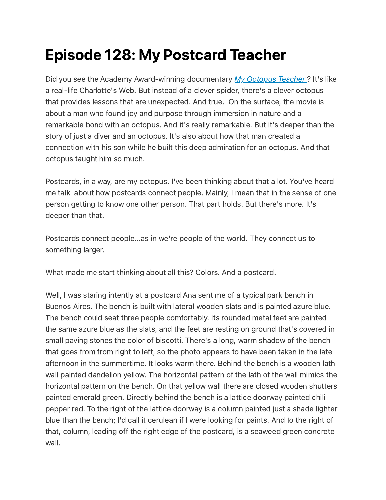# Episode 128: My Postcard Teacher

Did you see the Academy Award-winning documentary My [Octopus](https://youtu.be/3s0LTDhqe5A) Teacher? It's like a real-life Charlotte's Web. But instead of a clever spider, there's a clever octopus that provides lessons that are unexpected. And true. On the surface, the movie is about a man who found joy and purpose through immersion in nature and a remarkable bond with an octopus. And it's really remarkable. But it's deeper than the story of just a diver and an octopus. It's also about how that man created a connection with his son while he built this deep admiration for an octopus. And that octopus taught him so much.

Postcards, in a way, are my octopus. I've been thinking about that a lot. You've heard me talk about how postcards connect people. Mainly, I mean that in the sense of one person getting to know one other person. That part holds. But there's more. It's deeper than that.

Postcards connect people...as in we're people of the world. They connect us to something larger.

What made me start thinking about all this? Colors. And a postcard.

Well, I was staring intently at a postcard Ana sent me of a typical park bench in Buenos Aires. The bench is built with lateral wooden slats and is painted azure blue. The bench could seat three people comfortably. Its rounded metal feet are painted the same azure blue as the slats, and the feet are resting on ground that's covered in small paving stones the color of biscotti. There's a long, warm shadow of the bench that goes from from right to left, so the photo appears to have been taken in the late afternoon in the summertime. It looks warm there. Behind the bench is a wooden lath wall painted dandelion yellow. The horizontal pattern of the lath of the wall mimics the horizontal pattern on the bench. On that yellow wall there are closed wooden shutters painted emerald green. Directly behind the bench is a lattice doorway painted chili pepper red. To the right of the lattice doorway is a column painted just a shade lighter blue than the bench; I'd call it cerulean if I were looking for paints. And to the right of that, column, leading off the right edge of the postcard, is a seaweed green concrete wall.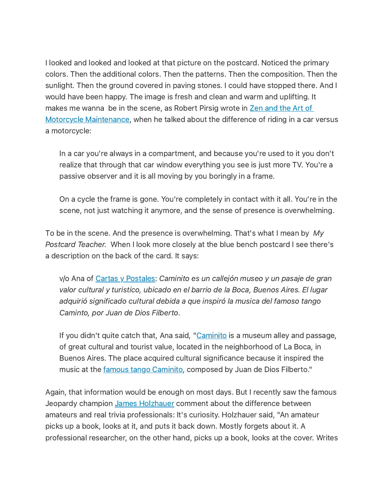I looked and looked and looked at that picture on the postcard. Noticed the primary colors. Then the additional colors. Then the patterns. Then the composition. Then the sunlight. Then the ground covered in paving stones. I could have stopped there. And I would have been happy. The image is fresh and clean and warm and uplifting. It makes me wanna be in the scene, as Robert Pirsig wrote in Zen and the Art of Motorcycle [Maintenance,](https://www.powells.com/book/-9780553277470/1-28?gclid=CjwKCAiA6seQBhAfEiwAvPqu1-tTYMxFq9LkPz_2FrdkwNTnr1t60HhOYr0rAFEBWtIkcNOYr3jxBRoCJaQQAvD_BwE) when he talked about the difference of riding in a car versus a motorcycle:

In a car you're always in a compartment, and because you're used to it you don't realize that through that car window everything you see is just more TV. You're a passive observer and it is all moving by you boringly in a frame.

On a cycle the frame is gone. You're completely in contact with it all. You're in the scene, not just watching it anymore, and the sense of presence is overwhelming.

To be in the scene. And the presence is overwhelming. That's what I mean by My Postcard Teacher. When I look more closely at the blue bench postcard I see there's a description on the back of the card. It says:

v/o Ana of Cartas y [Postales:](https://cartasypostales.wordpress.com/) Caminito es un callejón museo y un pasaje de gran valor cultural y turistico, ubicado en el barrio de la Boca, Buenos Aires. El lugar adquirió significado cultural debida a que inspiró la musica del famoso tango Caminto, por Juan de Dios Filberto.

If you didn't quite catch that, Ana said, ["Caminito](https://turismo.buenosaires.gob.ar/en/otros-establecimientos/caminito) is a museum alley and passage, of great cultural and tourist value, located in the neighborhood of La Boca, in Buenos Aires. The place acquired cultural significance because it inspired the music at the famous tango [Caminito,](https://youtu.be/l3FMGEOC-CQ) composed by Juan de Dios Filberto."

Again, that information would be enough on most days. But I recently saw the famous Jeopardy champion James [Holzhauer](https://en.wikipedia.org/wiki/James_Holzhauer) comment about the difference between amateurs and real trivia professionals: It's curiosity. Holzhauer said, "An amateur picks up a book, looks at it, and puts it back down. Mostly forgets about it. A professional researcher, on the other hand, picks up a book, looks at the cover. Writes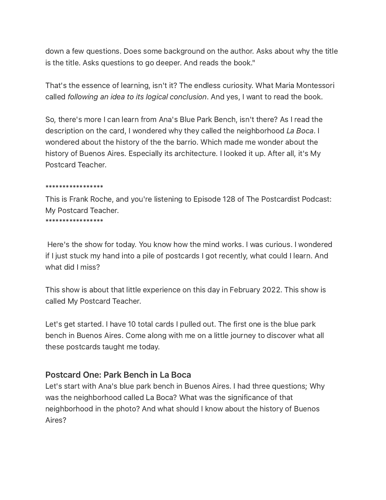down a few questions. Does some background on the author. Asks about why the title is the title. Asks questions to go deeper. And reads the book."

That's the essence of learning, isn't it? The endless curiosity. What Maria Montessori called following an idea to its logical conclusion. And yes, I want to read the book.

So, there's more I can learn from Ana's Blue Park Bench, isn't there? As I read the description on the card, I wondered why they called the neighborhood La Boca. I wondered about the history of the the barrio. Which made me wonder about the history of Buenos Aires. Especially its architecture. I looked it up. After all, it's My Postcard Teacher.

#### \*\*\*\*\*\*\*\*\*\*\*\*\*\*\*\*\*

This is Frank Roche, and you're listening to Episode 128 of The Postcardist Podcast: My Postcard Teacher.

\*\*\*\*\*\*\*\*\*\*\*\*\*\*\*\*\*

Here's the show for today. You know how the mind works. I was curious. I wondered if I just stuck my hand into a pile of postcards I got recently, what could I learn. And what did I miss?

This show is about that little experience on this day in February 2022. This show is called My Postcard Teacher.

Let's get started. I have 10 total cards I pulled out. The first one is the blue park bench in Buenos Aires. Come along with me on a little journey to discover what all these postcards taught me today.

### Postcard One: Park Bench in La Boca

Let's start with Ana's blue park bench in Buenos Aires. I had three questions; Why was the neighborhood called La Boca? What was the significance of that neighborhood in the photo? And what should I know about the history of Buenos Aires?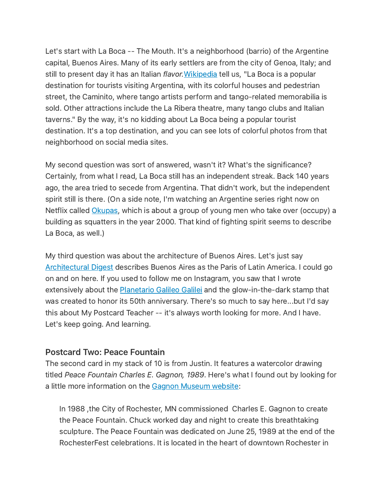Let's start with La Boca -- The Mouth. It's a neighborhood (barrio) of the Argentine capital, Buenos Aires. Many of its early settlers are from the city of Genoa, Italy; and still to present day it has an Italian *flavor*. [Wikipedia](https://en.wikipedia.org/wiki/La_Boca) tell us, "La Boca is a popular destination for tourists visiting Argentina, with its colorful houses and pedestrian street, the Caminito, where tango artists perform and tango-related memorabilia is sold. Other attractions include the La Ribera theatre, many tango clubs and Italian taverns." By the way, it's no kidding about La Boca being a popular tourist destination. It's a top destination, and you can see lots of colorful photos from that neighborhood on social media sites.

My second question was sort of answered, wasn't it? What's the significance? Certainly, from what I read, La Boca still has an independent streak. Back 140 years ago, the area tried to secede from Argentina. That didn't work, but the independent spirit still is there. (On a side note, I'm watching an Argentine series right now on Netflix called [Okupas,](https://www.netflix.com/title/81443363) which is about a group of young men who take over (occupy) a building as squatters in the year 2000. That kind of fighting spirit seems to describe La Boca, as well.)

My third question was about the architecture of Buenos Aires. Let's just say [Architectural](https://www.architecturaldigest.com/gallery/20-must-see-buenos-aires-landmarks) Digest describes Buenos Aires as the Paris of Latin America. I could go on and on here. If you used to follow me on Instagram, you saw that I wrote extensively about the **[Planetario](https://planetario.buenosaires.gob.ar/) Galileo Galilei** and the glow-in-the-dark stamp that was created to honor its 50th anniversary. There's so much to say here...but I'd say this about My Postcard Teacher -- it's always worth looking for more. And I have. Let's keep going. And learning.

#### Postcard Two: Peace Fountain

The second card in my stack of 10 is from Justin. It features a watercolor drawing titled Peace Fountain Charles E. Gagnon, 1989. Here's what I found out by looking for a little more information on the Gagnon [Museum](https://www.gagnonmuseum.org/peace-fountain) website:

In 1988 ,the City of Rochester, MN commissioned Charles E. Gagnon to create the Peace Fountain. Chuck worked day and night to create this breathtaking sculpture. The Peace Fountain was dedicated on June 25, 1989 at the end of the RochesterFest celebrations. It is located in the heart of downtown Rochester in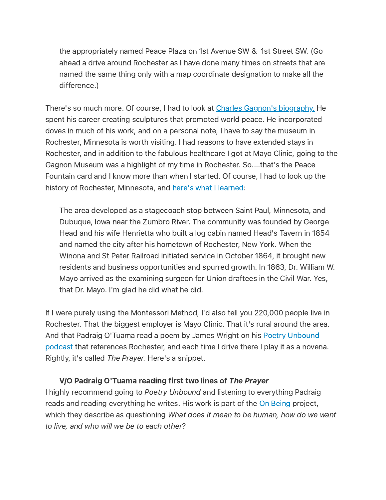the appropriately named Peace Plaza on 1st Avenue SW & 1st Street SW. (Go ahead a drive around Rochester as I have done many times on streets that are named the same thing only with a map coordinate designation to make all the difference.)

There's so much more. Of course, I had to look at Charles Gagnon's [biography.](https://www.gagnonmuseum.org/historical-timeline) He spent his career creating sculptures that promoted world peace. He incorporated doves in much of his work, and on a personal note, I have to say the museum in Rochester, Minnesota is worth visiting. I had reasons to have extended stays in Rochester, and in addition to the fabulous healthcare I got at Mayo Clinic, going to the Gagnon Museum was a highlight of my time in Rochester. So....that's the Peace Fountain card and I know more than when I started. Of course, I had to look up the history of Rochester, Minnesota, and here's what I [learned:](https://en.wikipedia.org/wiki/Rochester,_Minnesota)

The area developed as a stagecoach stop between Saint Paul, Minnesota, and Dubuque, Iowa near the Zumbro River. The community was founded by George Head and his wife Henrietta who built a log cabin named Head's Tavern in 1854 and named the city after his hometown of Rochester, New York. When the Winona and St Peter Railroad initiated service in October 1864, it brought new residents and business opportunities and spurred growth. In 1863, Dr. William W. Mayo arrived as the examining surgeon for Union draftees in the Civil War. Yes, that Dr. Mayo. I'm glad he did what he did.

If I were purely using the Montessori Method, I'd also tell you 220,000 people live in Rochester. That the biggest employer is Mayo Clinic. That it's rural around the area. And that Padraig O'Tuama read a poem by James Wright on his **Poetry Unbound** podcast that [references](https://onbeing.org/programs/james-wright-a-blessing/) Rochester, and each time I drive there I play it as a novena. Rightly, it's called The Prayer. Here's a snippet.

#### V/O Padraig O'Tuama reading first two lines of The Prayer

I highly recommend going to Poetry Unbound and listening to everything Padraig reads and reading everything he writes. His work is part of the On [Being](https://onbeing.org/our-story/) project, which they describe as questioning *What does it mean to be human, how do we want* to live, and who will we be to each other?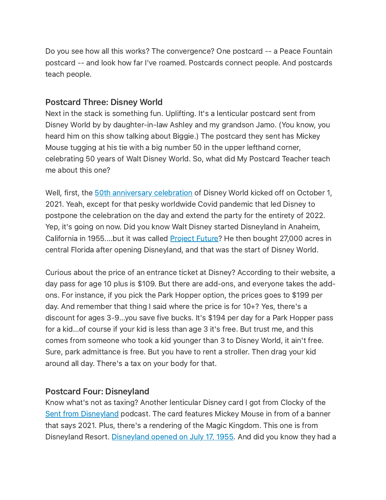Do you see how all this works? The convergence? One postcard -- a Peace Fountain postcard -- and look how far I've roamed. Postcards connect people. And postcards teach people.

# Postcard Three: Disney World

Next in the stack is something fun. Uplifting. It's a lenticular postcard sent from Disney World by by daughter-in-law Ashley and my grandson Jamo. (You know, you heard him on this show talking about Biggie.) The postcard they sent has Mickey Mouse tugging at his tie with a big number 50 in the upper lefthand corner, celebrating 50 years of Walt Disney World. So, what did My Postcard Teacher teach me about this one?

Well, first, the **50th [anniversary](https://disneyworld.disney.go.com/50th-anniversary/) celebration** of Disney World kicked off on October 1, 2021. Yeah, except for that pesky worldwide Covid pandemic that led Disney to postpone the celebration on the day and extend the party for the entirety of 2022. Yep, it's going on now. Did you know Walt Disney started Disneyland in Anaheim, California in 1955....but it was called **[Project](https://fortune.com/longform/disney-world-50th-anniversary/) Future?** He then bought 27,000 acres in central Florida after opening Disneyland, and that was the start of Disney World.

Curious about the price of an entrance ticket at Disney? According to their website, a day pass for age 10 plus is \$109. But there are add-ons, and everyone takes the addons. For instance, if you pick the Park Hopper option, the prices goes to \$199 per day. And remember that thing I said where the price is for 10+? Yes, there's a discount for ages 3-9...you save five bucks. It's \$194 per day for a Park Hopper pass for a kid...of course if your kid is less than age 3 it's free. But trust me, and this comes from someone who took a kid younger than 3 to Disney World, it ain't free. Sure, park admittance is free. But you have to rent a stroller. Then drag your kid around all day. There's a tax on your body for that.

# Postcard Four: Disneyland

Know what's not as taxing? Another lenticular Disney card I got from Clocky of the Sent from [Disneyland](https://podcasts.apple.com/us/podcast/sent-from-disneyland/id1479524109) podcast. The card features Mickey Mouse in from of a banner that says 2021. Plus, there's a rendering of the Magic Kingdom. This one is from [Disneyland](https://www.history.com/this-day-in-history/disneyland-opens) Resort. Disneyland opened on July 17, 1955. And did you know they had a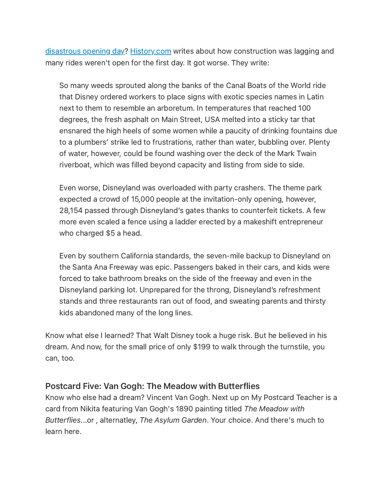[disastrous](https://www.history.com/news/disneylands-disastrous-opening-day-60-years-ago) opening day? [History.com](http://history.com/) writes about how construction was lagging and many rides weren't open for the first day. It got worse. They write:

So many weeds sprouted along the banks of the Canal Boats of the World ride that Disney ordered workers to place signs with exotic species names in Latin next to them to resemble an arboretum. In temperatures that reached 100 degrees, the fresh asphalt on Main Street, USA melted into a sticky tar that ensnared the high heels of some women while a paucity of drinking fountains due to a plumbers' strike led to frustrations, rather than water, bubbling over. Plenty of water, however, could be found washing over the deck of the Mark Twain riverboat, which was filled beyond capacity and listing from side to side.

Even worse, Disneyland was overloaded with party crashers. The theme park expected a crowd of 15,000 people at the invitation-only opening, however, 28,154 passed through Disneyland's gates thanks to counterfeit tickets. A few more even scaled a fence using a ladder erected by a makeshift entrepreneur who charged \$5 a head.

Even by southern California standards, the seven-mile backup to Disneyland on the Santa Ana Freeway was epic. Passengers baked in their cars, and kids were forced to take bathroom breaks on the side of the freeway and even in the Disneyland parking lot. Unprepared for the throng, Disneyland's refreshment stands and three restaurants ran out of food, and sweating parents and thirsty kids abandoned many of the long lines.

Know what else I learned? That Walt Disney took a huge risk. But he believed in his dream. And now, for the small price of only \$199 to walk through the turnstile, you can, too.

### Postcard Five: Van Gogh: The Meadow with Butterflies

Know who else had a dream? Vincent Van Gogh. Next up on My Postcard Teacher is a card from Nikita featuring Van Gogh's 1890 painting titled The Meadow with Butterflies...or , alternatley, The Asylum Garden. Your choice. And there's much to learn here.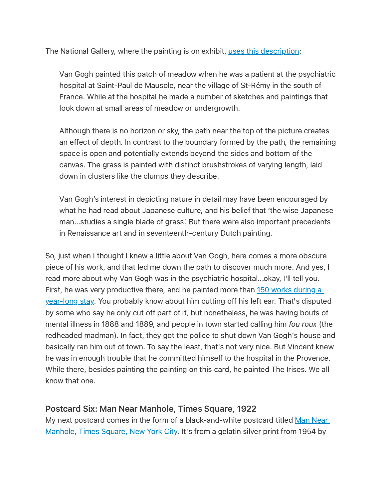The National Gallery, where the painting is on exhibit, uses this [description:](https://www.nationalgallery.org.uk/paintings/vincent-van-gogh-long-grass-with-butterflies)

Van Gogh painted this patch of meadow when he was a patient at the psychiatric hospital at Saint-Paul de Mausole, near the village of St-Rémy in the south of France. While at the hospital he made a number of sketches and paintings that look down at small areas of meadow or undergrowth.

Although there is no horizon or sky, the path near the top of the picture creates an effect of depth. In contrast to the boundary formed by the path, the remaining space is open and potentially extends beyond the sides and bottom of the canvas. The grass is painted with distinct brushstrokes of varying length, laid down in clusters like the clumps they describe.

Van Gogh's interest in depicting nature in detail may have been encouraged by what he had read about Japanese culture, and his belief that 'the wise Japanese man...studies a single blade of grass'. But there were also important precedents in Renaissance art and in seventeenth-century Dutch painting.

So, just when I thought I knew a little about Van Gogh, here comes a more obscure piece of his work, and that led me down the path to discover much more. And yes, I read more about why Van Gogh was in the psychiatric hospital...okay, I'll tell you. First, he was very [productive](https://www.vangoghmuseum.nl/en/art-and-stories/vincents-life-1853-1890/hospitalization) there, and he painted more than 150 works during a year-long stay. You probably know about him cutting off his left ear. That's disputed by some who say he only cut off part of it, but nonetheless, he was having bouts of mental illness in 1888 and 1889, and people in town started calling him fou roux (the redheaded madman). In fact, they got the police to shut down Van Gogh's house and basically ran him out of town. To say the least, that's not very nice. But Vincent knew he was in enough trouble that he committed himself to the hospital in the Provence. While there, besides painting the painting on this card, he painted The Irises. We all know that one.

# Postcard Six: Man Near Manhole, Times Square, 1922

My next postcard comes in the form of a [black-and-white](https://www.metmuseum.org/art/collection/search/264740) postcard titled Man Near Manhole, Times Square, New York City. It's from a gelatin silver print from 1954 by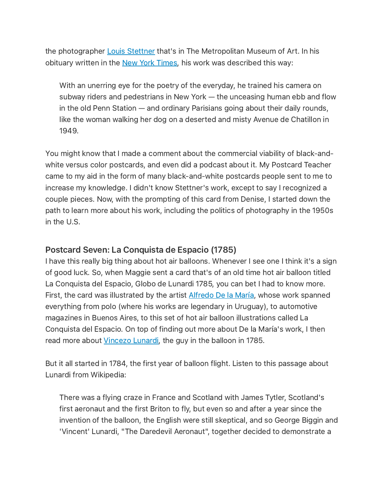the photographer **Louis [Stettner](https://www.louisstettner.com/)** that's in The Metropolitan Museum of Art. In his obituary written in the New York [Times](https://www.nytimes.com/2016/10/15/arts/design/louis-stettner-dead.html), his work was described this way:

With an unerring eye for the poetry of the everyday, he trained his camera on subway riders and pedestrians in New York — the unceasing human ebb and flow in the old Penn Station — and ordinary Parisians going about their daily rounds, like the woman walking her dog on a deserted and misty Avenue de Chatillon in 1949.

You might know that I made a comment about the commercial viability of black-andwhite versus color postcards, and even did a podcast about it. My Postcard Teacher came to my aid in the form of many black-and-white postcards people sent to me to increase my knowledge. I didn't know Stettner's work, except to say I recognized a couple pieces. Now, with the prompting of this card from Denise, I started down the path to learn more about his work, including the politics of photography in the 1950s in the U.S.

# Postcard Seven: La Conquista de Espacio (1785)

I have this really big thing about hot air balloons. Whenever I see one I think it's a sign of good luck. So, when Maggie sent a card that's of an old time hot air balloon titled La Conquista del Espacio, Globo de Lunardi 1785, you can bet I had to know more. First, the card was illustrated by the artist **[Alfredo](http://www.delamaria.com/) De la María**, whose work spanned everything from polo (where his works are legendary in Uruguay), to automotive magazines in Buenos Aires, to this set of hot air balloon illustrations called La Conquista del Espacio. On top of finding out more about De la María's work, I then read more about [Vincezo](https://en.wikipedia.org/wiki/Vincenzo_Lunardi) Lunardi, the guy in the balloon in 1785.

But it all started in 1784, the first year of balloon flight. Listen to this passage about Lunardi from Wikipedia:

There was a flying craze in France and Scotland with James Tytler, Scotland's first aeronaut and the first Briton to fly, but even so and after a year since the invention of the balloon, the English were still skeptical, and so George Biggin and 'Vincent' Lunardi, "The Daredevil Aeronaut", together decided to demonstrate a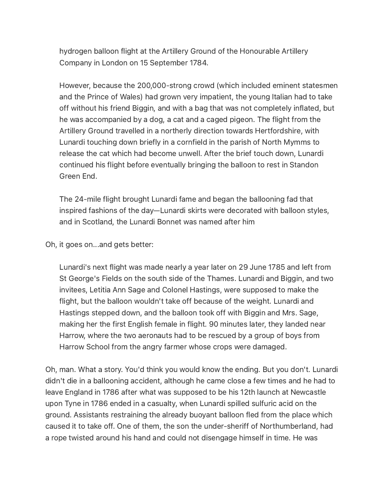hydrogen balloon flight at the Artillery Ground of the Honourable Artillery Company in London on 15 September 1784.

However, because the 200,000-strong crowd (which included eminent statesmen and the Prince of Wales) had grown very impatient, the young Italian had to take off without his friend Biggin, and with a bag that was not completely inflated, but he was accompanied by a dog, a cat and a caged pigeon. The flight from the Artillery Ground travelled in a northerly direction towards Hertfordshire, with Lunardi touching down briefly in a cornfield in the parish of North Mymms to release the cat which had become unwell. After the brief touch down, Lunardi continued his flight before eventually bringing the balloon to rest in Standon Green End.

The 24-mile flight brought Lunardi fame and began the ballooning fad that inspired fashions of the day—Lunardi skirts were decorated with balloon styles, and in Scotland, the Lunardi Bonnet was named after him

Oh, it goes on...and gets better:

Lunardi's next flight was made nearly a year later on 29 June 1785 and left from St George's Fields on the south side of the Thames. Lunardi and Biggin, and two invitees, Letitia Ann Sage and Colonel Hastings, were supposed to make the flight, but the balloon wouldn't take off because of the weight. Lunardi and Hastings stepped down, and the balloon took off with Biggin and Mrs. Sage, making her the first English female in flight. 90 minutes later, they landed near Harrow, where the two aeronauts had to be rescued by a group of boys from Harrow School from the angry farmer whose crops were damaged.

Oh, man. What a story. You'd think you would know the ending. But you don't. Lunardi didn't die in a ballooning accident, although he came close a few times and he had to leave England in 1786 after what was supposed to be his 12th launch at Newcastle upon Tyne in 1786 ended in a casualty, when Lunardi spilled sulfuric acid on the ground. Assistants restraining the already buoyant balloon fled from the place which caused it to take off. One of them, the son the under-sheriff of Northumberland, had a rope twisted around his hand and could not disengage himself in time. He was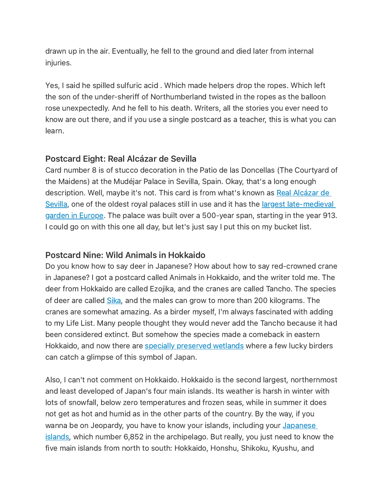drawn up in the air. Eventually, he fell to the ground and died later from internal injuries.

Yes, I said he spilled sulfuric acid . Which made helpers drop the ropes. Which left the son of the under-sheriff of Northumberland twisted in the ropes as the balloon rose unexpectedly. And he fell to his death. Writers, all the stories you ever need to know are out there, and if you use a single postcard as a teacher, this is what you can learn.

# Postcard Eight: Real Alcázar de Sevilla

Card number 8 is of stucco decoration in the Patio de las Doncellas (The Courtyard of the Maidens) at the Mudéjar Palace in Sevilla, Spain. Okay, that's a long enough description. Well, maybe it's not. This card is from what's known as Real Alcázar de Sevilla, one of the oldest royal palaces still in use and it has the largest [late-medieval](https://www.turnend.org.uk/news/2019/3/18/palacios-and-patios-discovering-architectural-and-horticultural-paradise-in-seville) garden in Europe. The palace was built over a 500-year span, starting in the year 913. I could go on with this one all day, but let's just say I put this on my bucket list.

# Postcard Nine: Wild Animals in Hokkaido

Do you know how to say deer in Japanese? How about how to say red-crowned crane in Japanese? I got a postcard called Animals in Hokkaido, and the writer told me. The deer from Hokkaido are called Ezojika, and the cranes are called Tancho. The species of deer are called [Sika](https://en.wikipedia.org/wiki/Yezo_sika_deer), and the males can grow to more than 200 kilograms. The cranes are somewhat amazing. As a birder myself, I'm always fascinated with adding to my Life List. Many people thought they would never add the Tancho because it had been considered extinct. But somehow the species made a comeback in eastern Hokkaido, and now there are specially [preserved](http://en.kushiro-lakeakan.com/overview/3760/) wetlands where a few lucky birders can catch a glimpse of this symbol of Japan.

Also, I can't not comment on Hokkaido. Hokkaido is the second largest, northernmost and least developed of Japan's four main islands. Its weather is harsh in winter with lots of snowfall, below zero temperatures and frozen seas, while in summer it does not get as hot and humid as in the other parts of the country. By the way, if you wanna be on Jeopardy, you have to know your islands, including your Japanese islands, which number 6,852 in the [archipelago.](https://en.wikipedia.org/wiki/Japanese_archipelago) But really, you just need to know the five main islands from north to south: Hokkaido, Honshu, Shikoku, Kyushu, and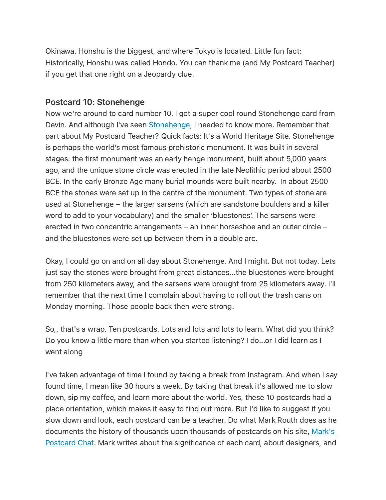Okinawa. Honshu is the biggest, and where Tokyo is located. Little fun fact: Historically, Honshu was called Hondo. You can thank me (and My Postcard Teacher) if you get that one right on a Jeopardy clue.

## Postcard 10: Stonehenge

Now we're around to card number 10. I got a super cool round Stonehenge card from Devin. And although I've seen [Stonehenge,](https://www.english-heritage.org.uk/visit/places/stonehenge/history-and-stories/) I needed to know more. Remember that part about My Postcard Teacher? Quick facts: It's a World Heritage Site. Stonehenge is perhaps the world's most famous prehistoric monument. It was built in several stages: the first monument was an early henge monument, built about 5,000 years ago, and the unique stone circle was erected in the late Neolithic period about 2500 BCE. In the early Bronze Age many burial mounds were built nearby. In about 2500 BCE the stones were set up in the centre of the monument. Two types of stone are used at Stonehenge – the larger sarsens (which are sandstone boulders and a killer word to add to your vocabulary) and the smaller 'bluestones'. The sarsens were erected in two concentric arrangements – an inner horseshoe and an outer circle – and the bluestones were set up between them in a double arc.

Okay, I could go on and on all day about Stonehenge. And I might. But not today. Lets just say the stones were brought from great distances...the bluestones were brought from 250 kilometers away, and the sarsens were brought from 25 kilometers away. I'll remember that the next time I complain about having to roll out the trash cans on Monday morning. Those people back then were strong.

So,, that's a wrap. Ten postcards. Lots and lots and lots to learn. What did you think? Do you know a little more than when you started listening? I do...or I did learn as I went along

I've taken advantage of time I found by taking a break from Instagram. And when I say found time, I mean like 30 hours a week. By taking that break it's allowed me to slow down, sip my coffee, and learn more about the world. Yes, these 10 postcards had a place orientation, which makes it easy to find out more. But I'd like to suggest if you slow down and look, each postcard can be a teacher. Do what Mark Routh does as he documents the history of thousands upon thousands of postcards on his site, Mark's Postcard Chat. Mark writes about the [significance](https://www.marks-postcard-chat.co.uk/) of each card, about designers, and